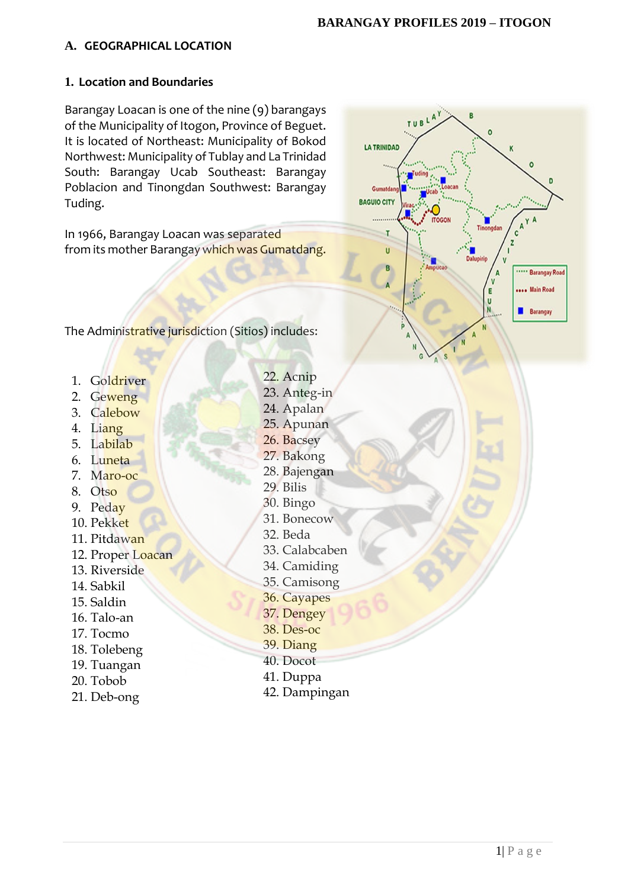# **A. GEOGRAPHICAL LOCATION**

#### **1. Location and Boundaries**

Barangay Loacan is one of the nine (9) barangays of the Municipality of Itogon, Province of Beguet. It is located of Northeast: Municipality of Bokod Northwest: Municipality of Tublay and La Trinidad South: Barangay Ucab Southeast: Barangay Poblacion and Tinongdan Southwest: Barangay Tuding.

In 1966, Barangay Loacan was separated from its mother Barangay which was Gumatdang.



The Administrative jurisdiction (Sitios) includes:

- 1. Goldriver
- 2. Geweng
- 3. Calebow
- 4. Liang
- 5. Labilab
- 6. Luneta
- 7. Maro-oc
- 8. Otso
- 9. Peday
- 10. Pekket
- 11. Pitdawan
- 12. Proper Loacan
- 13. Riverside
- 14. Sabkil
- 15. Saldin
- 16. Talo-an
- 17. Tocmo
- 18. Tolebeng
- 19. Tuangan
- 20. Tobob
- 21. Deb-ong
- 22. Acnip
- 23. Anteg-in
- 24. Apalan
- 25. Apunan
- 26. Bacsey
- 27. Bakong
- 28. Bajengan
- 29. Bilis
- 30. Bingo
- 31. Bonecow
- 32. Beda
- 33. Calabcaben
- 34. Camiding
- 35. Camisong
- 36. Cayapes
- 37. Dengey
- 38. Des-oc
- 39. Diang
- 40. Docot
- 41. Duppa
- 42. Dampingan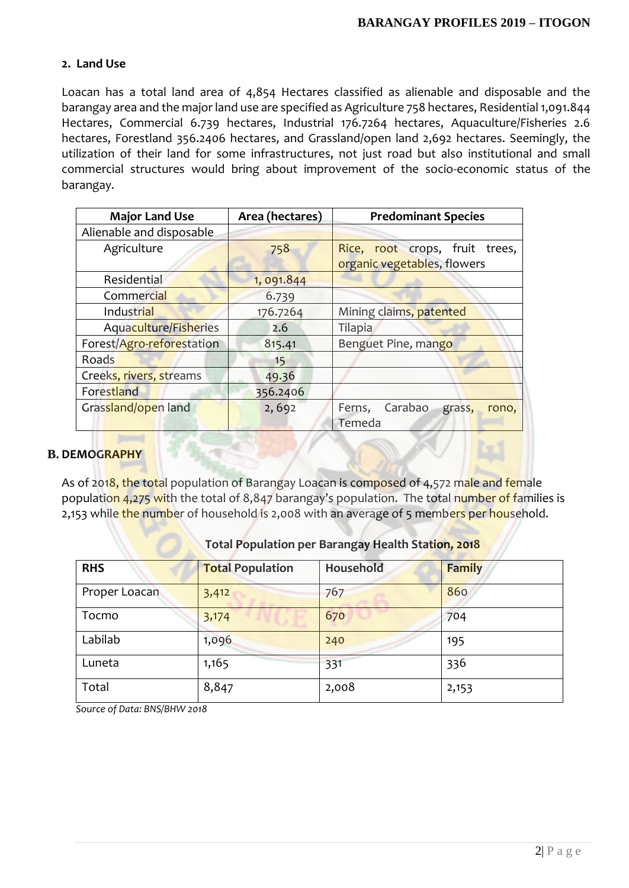#### **2. Land Use**

Loacan has a total land area of 4,854 Hectares classified as alienable and disposable and the barangay area and the major land use are specified as Agriculture 758 hectares, Residential 1,091.844 Hectares, Commercial 6.739 hectares, Industrial 176.7264 hectares, Aquaculture/Fisheries 2.6 hectares, Forestland 356.2406 hectares, and Grassland/open land 2,692 hectares. Seemingly, the utilization of their land for some infrastructures, not just road but also institutional and small commercial structures would bring about improvement of the socio-economic status of the barangay.

| <b>Major Land Use</b>        | Area (hectares) | <b>Predominant Species</b>                                    |
|------------------------------|-----------------|---------------------------------------------------------------|
| Alienable and disposable     |                 |                                                               |
| Agriculture                  | 758             | Rice, root crops, fruit trees,<br>organic vegetables, flowers |
| Residential                  | 1,091.844       |                                                               |
| Commercial                   | 6.739           |                                                               |
| Industrial                   | 176.7264        | Mining claims, patented                                       |
| <b>Aquaculture/Fisheries</b> | 2.6             | Tilapia                                                       |
| Forest/Agro-reforestation    | 815.41          | Benguet Pine, mango                                           |
| Roads                        | 15              |                                                               |
| Creeks, rivers, streams      | 49.36           |                                                               |
| Forestland                   | 356.2406        |                                                               |
| Grassland/open land          | 2,692           | Carabao grass,<br>Ferns,<br>rono,<br>Temeda                   |

#### **B. DEMOGRAPHY**

As of 2018, the total population of Barangay Loacan is composed of 4,572 male and female population 4,275 with the total of 8,847 barangay's population. The total number of families is 2,153 while the number of household is 2,008 with an average of 5 members per household.

| <b>RHS</b>    | <b>Total Population</b> | Household | <b>Family</b> |
|---------------|-------------------------|-----------|---------------|
| Proper Loacan | 3,412                   | 767       | 860           |
| Tocmo         | 3,174                   | 670       | 704           |
| Labilab       | 1,096                   | 240       | 195           |
| Luneta        | 1,165                   | 331       | 336           |
| Total         | 8,847                   | 2,008     | 2,153         |

#### **Total Population per Barangay Health Station, 2018**

*Source of Data: BNS/BHW 2018*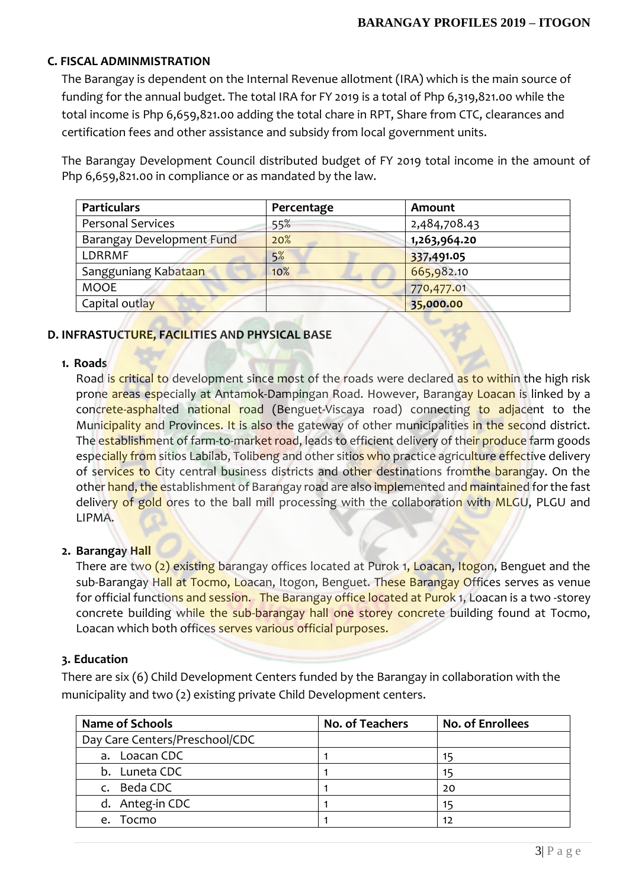# **C. FISCAL ADMINMISTRATION**

The Barangay is dependent on the Internal Revenue allotment (IRA) which is the main source of funding for the annual budget. The total IRA for FY 2019 is a total of Php 6,319,821.00 while the total income is Php 6,659,821.00 adding the total chare in RPT, Share from CTC, clearances and certification fees and other assistance and subsidy from local government units.

The Barangay Development Council distributed budget of FY 2019 total income in the amount of Php 6,659,821.00 in compliance or as mandated by the law.

| <b>Particulars</b>        | Percentage | Amount       |
|---------------------------|------------|--------------|
| <b>Personal Services</b>  | 55%        | 2,484,708.43 |
| Barangay Development Fund | 20%        | 1,263,964.20 |
| LDRRMF                    | 5%         | 337,491.05   |
| Sangguniang Kabataan      | 10%        | 665,982.10   |
| <b>MOOE</b>               |            | 770,477.01   |
| Capital outlay            |            | 35,000.00    |

# **D. INFRASTUCTURE, FACILITIES AND PHYSICAL BASE**

#### **1. Roads**

Road is critical to development since most of the roads were declared as to within the high risk prone areas especially at Antamok-Dampingan Road. However, Barangay Loacan is linked by a concrete-asphalted national road (Benguet-Viscaya road) connecting to adjacent to the Municipality and Provinces. It is also the gateway of other municipalities in the second district. The establishment of farm-to-market road, leads to efficient delivery of their produce farm goods especially from sitios Labilab, Tolibeng and other sitios who practice agriculture effective delivery of services to City central business districts and other destinations from the barangay. On the other hand, the establishment of Barangay road are also implemented and maintained for the fast delivery of gold ores to the ball mill processing with the collaboration with MLGU, PLGU and LIPMA.

# **2. Barangay Hall**

There are two (2) existing barangay offices located at Purok 1, Loacan, Itogon, Benguet and the sub-Barangay Hall at Tocmo, Loacan, Itogon, Benguet. These Barangay Offices serves as venue for official functions and session. The Barangay office located at Purok 1, Loacan is a two -storey concrete building while the sub-barangay hall one storey concrete building found at Tocmo, Loacan which both offices serves various official purposes.

#### **3. Education**

There are six (6) Child Development Centers funded by the Barangay in collaboration with the municipality and two (2) existing private Child Development centers.

| <b>Name of Schools</b>         | No. of Teachers | <b>No. of Enrollees</b> |
|--------------------------------|-----------------|-------------------------|
| Day Care Centers/Preschool/CDC |                 |                         |
| a. Loacan CDC                  |                 | 15                      |
| b. Luneta CDC                  |                 | 15                      |
| Beda CDC<br>$\mathsf{C}$ .     |                 | 20                      |
| d. Anteg-in CDC                |                 | 15                      |
| Tocmo<br>e.                    |                 | 12                      |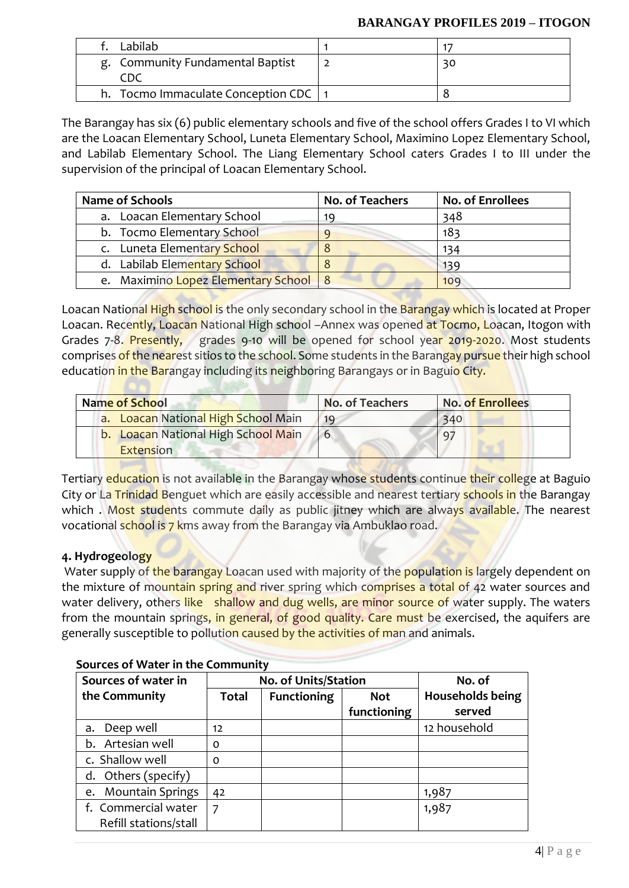#### **BARANGAY PROFILES 2019 – ITOGON**

| Labilab.                               |    |
|----------------------------------------|----|
| g. Community Fundamental Baptist       | 30 |
| h. Tocmo Immaculate Conception CDC   1 |    |

The Barangay has six (6) public elementary schools and five of the school offers Grades I to VI which are the Loacan Elementary School, Luneta Elementary School, Maximino Lopez Elementary School, and Labilab Elementary School. The Liang Elementary School caters Grades I to III under the supervision of the principal of Loacan Elementary School.

| <b>Name of Schools</b>                | No. of Teachers | <b>No. of Enrollees</b> |
|---------------------------------------|-----------------|-------------------------|
| a. Loacan Elementary School           | 19              | 348                     |
| b. Tocmo Elementary School            |                 | 183                     |
| c. Luneta Elementary School           |                 | 134                     |
| d. Labilab Elementary School          |                 | 139                     |
| e. Maximino Lopez Elementary School 8 |                 | 109                     |

Loacan National High school is the only secondary school in the Barangay which is located at Proper Loacan. Recently, Loacan National High school -Annex was opened at Tocmo, Loacan, Itogon with Grades 7-8. Presently, grades 9-10 will be opened for school year 2019-2020. Most students comprises of the nearest sitios to the school. Some students in the Barangay pursue their high school education in the Barangay including its neighboring Barangays or in Baguio City.

| Name of School                                          | <b>No. of Teachers</b> | <b>No. of Enrollees</b> |
|---------------------------------------------------------|------------------------|-------------------------|
| a. Loacan National High School Main                     | 19                     | 340                     |
| <b>b.</b> Loacan National High School Main<br>Extension | 6                      | $q^{\pi}$               |

Tertiary education is not available in the Barangay whose students continue their college at Baguio City or La Trinidad Benguet which are easily accessible and nearest tertiary schools in the Barangay which . Most students commute daily as public jitney which are always available. The nearest vocational school is 7 kms away from the Barangay via Ambuklao road.

# **4. Hydrogeology**

Water supply of the barangay Loacan used with majority of the population is largely dependent on the mixture of mountain spring and river spring which comprises a total of 42 water sources and water delivery, others like shallow and dug wells, are minor source of water supply. The waters from the mountain springs, in general, of good quality. Care must be exercised, the aquifers are generally susceptible to pollution caused by the activities of man and animals.

| Sources of water in           | <b>No. of Units/Station</b> |                    | No. of      |                         |
|-------------------------------|-----------------------------|--------------------|-------------|-------------------------|
| the Community                 | <b>Total</b>                | <b>Functioning</b> | <b>Not</b>  | <b>Households being</b> |
|                               |                             |                    | functioning | served                  |
| Deep well<br>a.               | 12                          |                    |             | 12 household            |
| Artesian well<br>b.           | 0                           |                    |             |                         |
| c. Shallow well               | 0                           |                    |             |                         |
| Others (specify)<br>d.        |                             |                    |             |                         |
| <b>Mountain Springs</b><br>e. | 42                          |                    |             | 1,987                   |
| f. Commercial water           | 7                           |                    |             | 1,987                   |
| Refill stations/stall         |                             |                    |             |                         |

# **Sources of Water in the Community**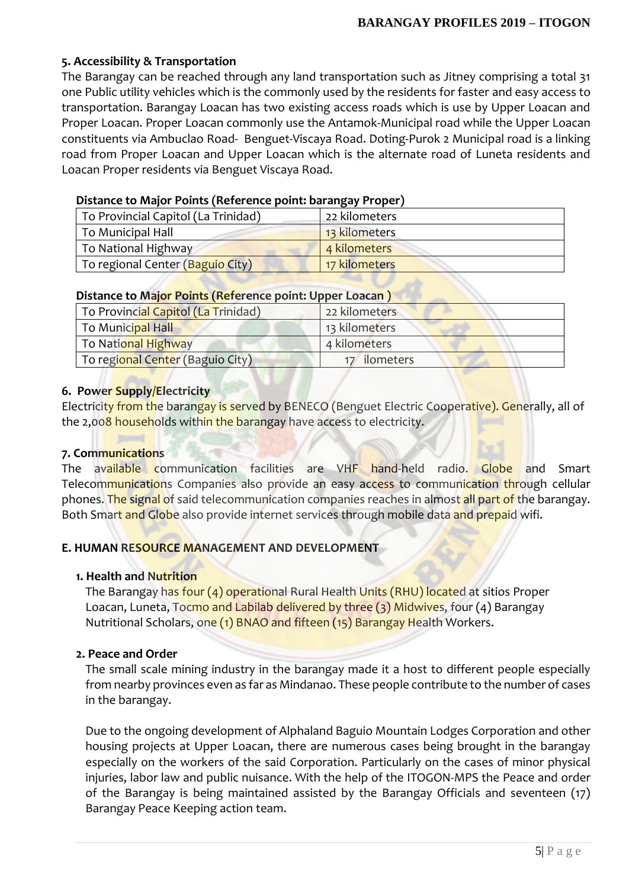# **5. Accessibility & Transportation**

The Barangay can be reached through any land transportation such as Jitney comprising a total 31 one Public utility vehicles which is the commonly used by the residents for faster and easy access to transportation. Barangay Loacan has two existing access roads which is use by Upper Loacan and Proper Loacan. Proper Loacan commonly use the Antamok-Municipal road while the Upper Loacan constituents via Ambuclao Road- Benguet-Viscaya Road. Doting-Purok 2 Municipal road is a linking road from Proper Loacan and Upper Loacan which is the alternate road of Luneta residents and Loacan Proper residents via Benguet Viscaya Road.

# **Distance to Major Points (Reference point: barangay Proper)**

| To Provincial Capitol (La Trinidad)                         | 22 kilometers |
|-------------------------------------------------------------|---------------|
| To Municipal Hall                                           | 13 kilometers |
| To National Highway                                         | 4 kilometers  |
| <sup> </sup> To regional Center ( <mark>Baguio City)</mark> | 17 kilometers |

# **Distance to Major Points (Reference point: Upper Loacan )**

| To Provincial Capitol (La Trinidad) | 22 kilometers |
|-------------------------------------|---------------|
| To Municipal Hall                   | 13 kilometers |
| To National Highway                 | 4 kilometers  |
| To regional Center (Baguio City)    | 17 ilometers  |

# **6. Power Supply/Electricity**

Electricity from the barangay is served by BENECO (Benguet Electric Cooperative). Generally, all of the 2,008 households within the barangay have access to electricity.

# **7. Communications**

The available communication facilities are VHF hand-held radio. Globe and Smart Telecommunications Companies also provide an easy access to communication through cellular phones. The signal of said telecommunication companies reaches in almost all part of the barangay. Both Smart and Globe also provide internet services through mobile data and prepaid wifi.

# **E. HUMAN RESOURCE MANAGEMENT AND DEVELOPMENT**

# **1. Health and Nutrition**

The Barangay has four (4) operational Rural Health Units (RHU) located at sitios Proper Loacan, Luneta, Tocmo and Labilab delivered by three (3) Midwives, four (4) Barangay Nutritional Scholars, one (1) BNAO and fifteen (15) Barangay Health Workers.

# **2. Peace and Order**

The small scale mining industry in the barangay made it a host to different people especially from nearby provinces even as far as Mindanao. These people contribute to the number of cases in the barangay.

Due to the ongoing development of Alphaland Baguio Mountain Lodges Corporation and other housing projects at Upper Loacan, there are numerous cases being brought in the barangay especially on the workers of the said Corporation. Particularly on the cases of minor physical injuries, labor law and public nuisance. With the help of the ITOGON-MPS the Peace and order of the Barangay is being maintained assisted by the Barangay Officials and seventeen (17) Barangay Peace Keeping action team.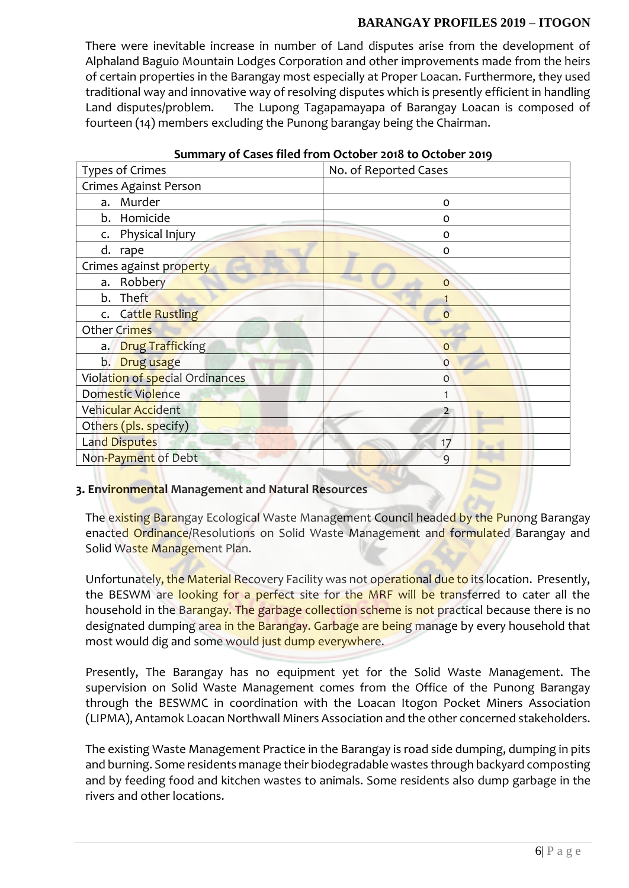#### **BARANGAY PROFILES 2019 – ITOGON**

There were inevitable increase in number of Land disputes arise from the development of Alphaland Baguio Mountain Lodges Corporation and other improvements made from the heirs of certain properties in the Barangay most especially at Proper Loacan. Furthermore, they used traditional way and innovative way of resolving disputes which is presently efficient in handling Land disputes/problem. The Lupong Tagapamayapa of Barangay Loacan is composed of fourteen (14) members excluding the Punong barangay being the Chairman.

| <b>Types of Crimes</b>          | No. of Reported Cases |
|---------------------------------|-----------------------|
| Crimes Against Person           |                       |
| Murder<br>a.                    | o                     |
| b. Homicide                     | o                     |
| c. Physical Injury              | O                     |
| d.<br>rape                      | O                     |
| Crimes against property         |                       |
| a. Robbery                      | $\mathbf 0$           |
| b. Theft                        |                       |
| c. Cattle Rustling              | $\overline{O}$        |
| Other Crimes                    |                       |
| a. Drug Trafficking             | $\circ$               |
| b. Drug usage                   | $\mathbf 0$           |
| Violation of special Ordinances | 0                     |
| Domestic Violence               | 1                     |
| Vehicular Accident              | $\overline{2}$        |
| Others (pls. specify)           |                       |
| Land Disputes                   | 17                    |
| Non-Payment of Debt             | 9                     |

#### **Summary of Cases filed from October 2018 to October 2019**

# **3. Environmental Management and Natural Resources**

The existing Barangay Ecological Waste Management Council headed by the Punong Barangay enacted Ordinance/Resolutions on Solid Waste Management and formulated Barangay and Solid Waste Management Plan.

Unfortunately, the Material Recovery Facility was not operational due to its location. Presently, the BESWM are looking for a perfect site for the MRF will be transferred to cater all the household in the Barangay. The garbage collection scheme is not practical because there is no designated dumping area in the Barangay. Garbage are being manage by every household that most would dig and some would just dump everywhere.

Presently, The Barangay has no equipment yet for the Solid Waste Management. The supervision on Solid Waste Management comes from the Office of the Punong Barangay through the BESWMC in coordination with the Loacan Itogon Pocket Miners Association (LIPMA), Antamok Loacan Northwall Miners Association and the other concerned stakeholders.

The existing Waste Management Practice in the Barangay is road side dumping, dumping in pits and burning. Some residents manage their biodegradable wastes through backyard composting and by feeding food and kitchen wastes to animals. Some residents also dump garbage in the rivers and other locations.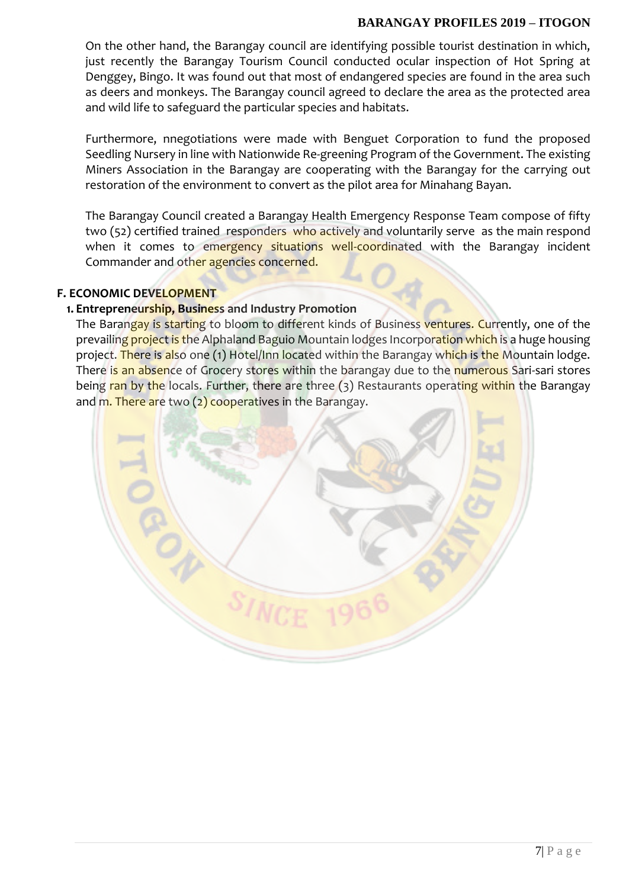#### **BARANGAY PROFILES 2019 – ITOGON**

On the other hand, the Barangay council are identifying possible tourist destination in which, just recently the Barangay Tourism Council conducted ocular inspection of Hot Spring at Denggey, Bingo. It was found out that most of endangered species are found in the area such as deers and monkeys. The Barangay council agreed to declare the area as the protected area and wild life to safeguard the particular species and habitats.

Furthermore, nnegotiations were made with Benguet Corporation to fund the proposed Seedling Nursery in line with Nationwide Re-greening Program of the Government. The existing Miners Association in the Barangay are cooperating with the Barangay for the carrying out restoration of the environment to convert as the pilot area for Minahang Bayan.

The Barangay Council created a Barangay Health Emergency Response Team compose of fifty two (52) certified trained responders who actively and voluntarily serve as the main respond when it comes to emergency situations well-coordinated with the Barangay incident Commander and other agencies concerned.

#### **F. ECONOMIC DEVELOPMENT**

#### **1. Entrepreneurship, Business and Industry Promotion**

The Barangay is starting to bloom to different kinds of Business ventures. Currently, one of the prevailing project is the Alphaland Baguio Mountain lodges Incorporation which is a huge housing project. There is also one (1) Hotel/Inn located within the Barangay which is the Mountain lodge. There is an absence of Grocery stores within the barangay due to the numerous Sari-sari stores being ran by the locals. Further, there are three (3) Restaurants operating within the Barangay and m. There are two  $(2)$  cooperatives in the Barangay.